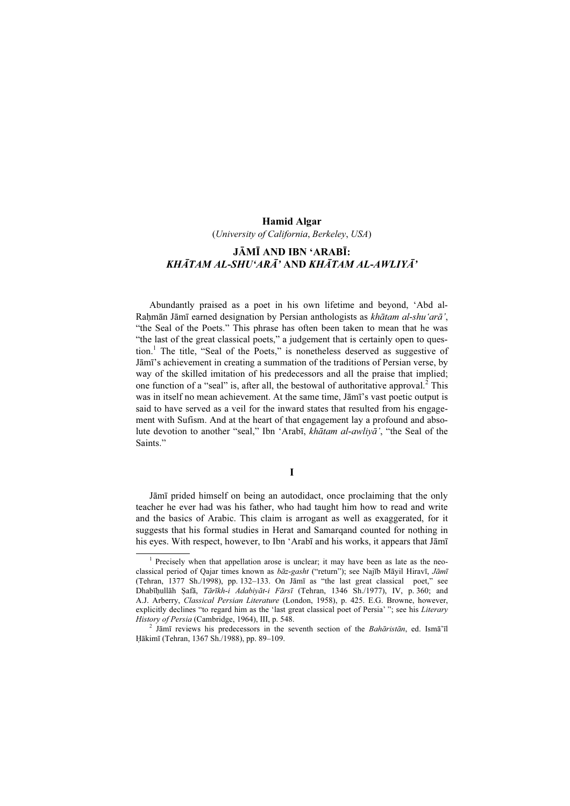## Hamid Algar

(University of California, Berkeley, USA)

# JĀMĪ AND IBN 'ARABĪ: KHĀTAM AL-SHU'ARĀ' AND KHĀTAM AL-AWLIYĀ'

Abundantly praised as a poet in his own lifetime and beyond, 'Abd al-Raḥmān Jāmī earned designation by Persian anthologists as khātam al-shu'arā', "the Seal of the Poets." This phrase has often been taken to mean that he was "the last of the great classical poets," a judgement that is certainly open to question.<sup>1</sup> The title, "Seal of the Poets," is nonetheless deserved as suggestive of Jāmī's achievement in creating a summation of the traditions of Persian verse, by way of the skilled imitation of his predecessors and all the praise that implied; one function of a "seal" is, after all, the bestowal of authoritative approval.<sup>2</sup> This was in itself no mean achievement. At the same time, Jāmī's vast poetic output is said to have served as a veil for the inward states that resulted from his engagement with Sufism. And at the heart of that engagement lay a profound and absolute devotion to another "seal," Ibn 'Arabī, khātam al-awliyā', "the Seal of the Saints."

# I

Jāmī prided himself on being an autodidact, once proclaiming that the only teacher he ever had was his father, who had taught him how to read and write and the basics of Arabic. This claim is arrogant as well as exaggerated, for it suggests that his formal studies in Herat and Samarqand counted for nothing in his eyes. With respect, however, to Ibn 'Arabī and his works, it appears that Jāmī

<sup>&</sup>lt;sup>1</sup> Precisely when that appellation arose is unclear; it may have been as late as the neoclassical period of Qajar times known as  $b\bar{a}z$ -gasht ("return"); see Najīb Māyil Hiravī, Jāmī (Tehran, 1377 Sh./1998), pp. 132–133. On Jāmī as "the last great classical poet," see Dhabīḥullāh Ṣafā, Tārīkh-i Adabiyāt-i Fārsī (Tehran, 1346 Sh./1977), IV, p. 360; and A.J. Arberry, Classical Persian Literature (London, 1958), p. 425. E.G. Browne, however, explicitly declines "to regard him as the 'last great classical poet of Persia' "; see his Literary History of Persia (Cambridge, 1964), III, p. 548. <sup>2</sup>

 $^{2}$  Jāmī reviews his predecessors in the seventh section of the *Bahāristān*, ed. Ismā'īl Ḥākimī (Tehran, 1367 Sh./1988), pp. 89–109.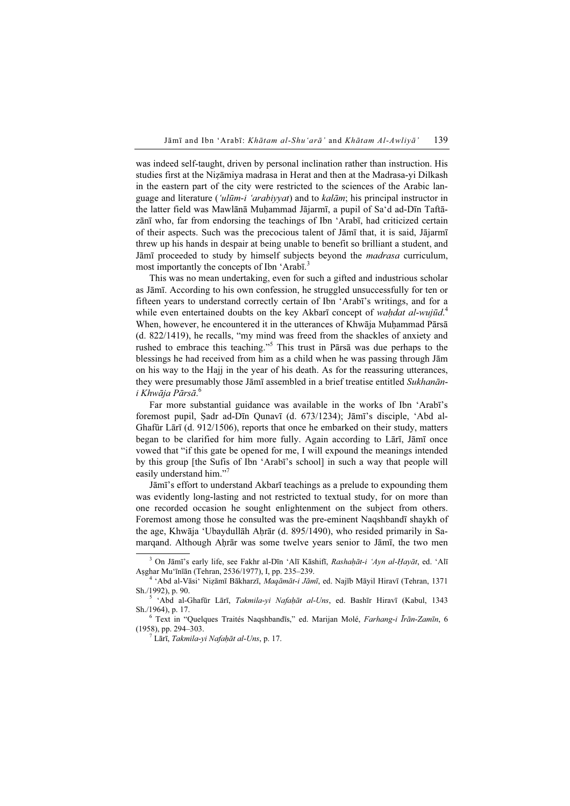was indeed self-taught, driven by personal inclination rather than instruction. His studies first at the Niẓāmiya madrasa in Herat and then at the Madrasa-yi Dilkash in the eastern part of the city were restricted to the sciences of the Arabic language and literature ('ulūm-i 'arabiyyat) and to kalām; his principal instructor in the latter field was Mawlānā Muḥammad Jājarmī, a pupil of Sa'd ad-Dīn Taftāzānī who, far from endorsing the teachings of Ibn 'Arabī, had criticized certain of their aspects. Such was the precocious talent of Jāmī that, it is said, Jājarmī threw up his hands in despair at being unable to benefit so brilliant a student, and Jāmī proceeded to study by himself subjects beyond the *madrasa* curriculum, most importantly the concepts of Ibn 'Arabī.<sup>3</sup>

This was no mean undertaking, even for such a gifted and industrious scholar as Jāmī. According to his own confession, he struggled unsuccessfully for ten or fifteen years to understand correctly certain of Ibn 'Arabī's writings, and for a while even entertained doubts on the key Akbarī concept of waḥdat al-wujūd.<sup>4</sup> When, however, he encountered it in the utterances of Khwāja Muhammad Pārsā (d. 822/1419), he recalls, "my mind was freed from the shackles of anxiety and rushed to embrace this teaching."<sup>5</sup> This trust in Pārsā was due perhaps to the blessings he had received from him as a child when he was passing through Jām on his way to the Hajj in the year of his death. As for the reassuring utterances, they were presumably those Jāmī assembled in a brief treatise entitled Sukhanāni Khwāja Pārsā. 6

Far more substantial guidance was available in the works of Ibn 'Arabī's foremost pupil, Ṣadr ad-Dīn Qunavī (d. 673/1234); Jāmī's disciple, 'Abd al-Ghafūr Lārī (d. 912/1506), reports that once he embarked on their study, matters began to be clarified for him more fully. Again according to Lārī, Jāmī once vowed that "if this gate be opened for me, I will expound the meanings intended by this group [the Sufis of Ibn 'Arabī's school] in such a way that people will easily understand him."

Jāmī's effort to understand Akbarī teachings as a prelude to expounding them was evidently long-lasting and not restricted to textual study, for on more than one recorded occasion he sought enlightenment on the subject from others. Foremost among those he consulted was the pre-eminent Naqshbandī shaykh of the age, Khwāja 'Ubaydullāh Ahrār (d. 895/1490), who resided primarily in Samarqand. Although Ahrār was some twelve years senior to Jāmī, the two men

<sup>&</sup>lt;sup>3</sup> On Jāmī's early life, see Fakhr al-Dīn 'Alī Kāshifī, Rashaḥāt-i 'Ayn al-Ḥayāt, ed. 'Alī Aṣghar Mu'īnīān (Tehran, 2536/1977), I, pp. 235–239. <sup>4</sup>

<sup>&</sup>lt;sup>4</sup> 'Abd al-Vāsi' Nizāmī Bākharzī, Maqāmāt-i Jāmī, ed. Najīb Māyil Hiravī (Tehran, 1371) Sh./1992), p. 90.

<sup>&</sup>lt;sup>5</sup> 'Abd al-Ghafūr Lārī, Takmila-yi Nafaḥāt al-Uns, ed. Bashīr Hiravī (Kabul, 1343 Sh./1964), p. 17.

Text in "Quelques Traités Naqshbandīs," ed. Marijan Molé, Farhang-i Īrān-Zamīn, 6 (1958), pp. 294-303.

 $^7$  Lārī, *Takmila-yi Nafaḥāt al-Uns*, p. 17.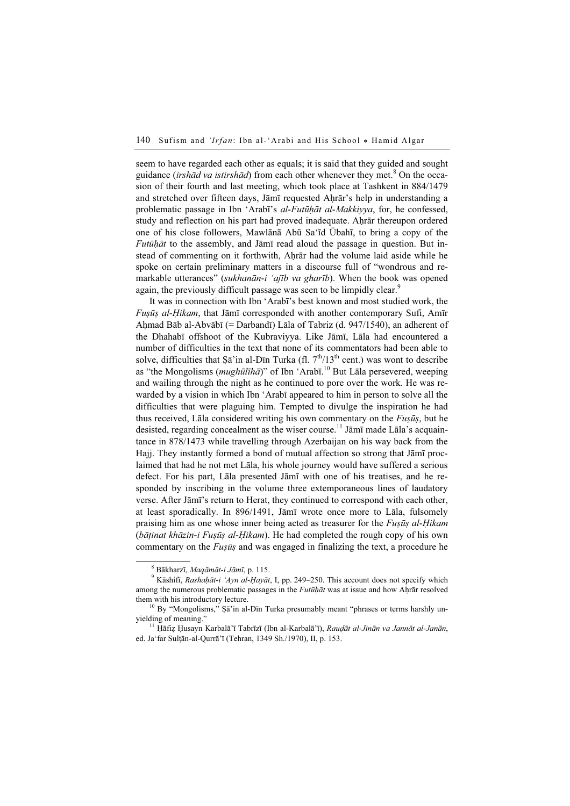seem to have regarded each other as equals; it is said that they guided and sought guidance (irshād va istirshād) from each other whenever they met.<sup>8</sup> On the occasion of their fourth and last meeting, which took place at Tashkent in 884/1479 and stretched over fifteen days, Jāmī requested Ahrār's help in understanding a problematic passage in Ibn 'Arabī's al-Futūhāt al-Makkiyya, for, he confessed, study and reflection on his part had proved inadequate. Ahrār thereupon ordered one of his close followers, Mawlānā Abū Sa'īd Ūbahī, to bring a copy of the *Futūhāt* to the assembly, and Jāmī read aloud the passage in question. But instead of commenting on it forthwith, Ahrar had the volume laid aside while he spoke on certain preliminary matters in a discourse full of "wondrous and remarkable utterances" (sukhanān-i 'ajīb va gharīb). When the book was opened again, the previously difficult passage was seen to be limpidly clear.<sup>9</sup>

It was in connection with Ibn 'Arabī's best known and most studied work, the Fuṣūṣ al-Ḥikam, that Jāmī corresponded with another contemporary Sufi, Amīr Ahmad Bāb al-Abvābī (= Darbandī) Lāla of Tabriz (d. 947/1540), an adherent of the Dhahabī offshoot of the Kubraviyya. Like Jāmī, Lāla had encountered a number of difficulties in the text that none of its commentators had been able to solve, difficulties that  $\overline{S}$  and  $\overline{S}$  and  $\overline{S}$  and  $\overline{S}$  and  $\overline{S}$  and  $\overline{S}$  and  $\overline{S}$  and  $\overline{S}$  and  $\overline{S}$  and  $\overline{S}$  and  $\overline{S}$  and  $\overline{S}$  and  $\overline{S}$  and  $\overline{S}$  and  $\overline{S}$  and as "the Mongolisms (*mughūlīhā*)" of Ibn 'Arabī.<sup>10</sup> But Lāla persevered, weeping and wailing through the night as he continued to pore over the work. He was rewarded by a vision in which Ibn 'Arabī appeared to him in person to solve all the difficulties that were plaguing him. Tempted to divulge the inspiration he had thus received, Lāla considered writing his own commentary on the  $Fus\bar{u}s$ , but he desisted, regarding concealment as the wiser course.<sup>11</sup> Jāmī made Lāla's acquaintance in 878/1473 while travelling through Azerbaijan on his way back from the Hajj. They instantly formed a bond of mutual affection so strong that Jāmī proclaimed that had he not met Lāla, his whole journey would have suffered a serious defect. For his part, Lāla presented Jāmī with one of his treatises, and he responded by inscribing in the volume three extemporaneous lines of laudatory verse. After Jāmī's return to Herat, they continued to correspond with each other, at least sporadically. In 896/1491, Jāmī wrote once more to Lāla, fulsomely praising him as one whose inner being acted as treasurer for the Fuṣūṣ al-Ḥikam (bāṭinat khāzin-i Fuṣūṣ al-Ḥikam). He had completed the rough copy of his own commentary on the *Fusūs* and was engaged in finalizing the text, a procedure he

 $^8$  Bākharzī, *Maqāmāt-i Jāmī*, p. 115.

 $9$  Kāshifī, Rashaḥāt-i 'Ayn al-Ḥayāt, I, pp. 249-250. This account does not specify which among the numerous problematic passages in the *Futūḥāt* was at issue and how Aḥrār resolved them with his introductory lecture.<br><sup>10</sup> By "Mongolisms," Şā'in al-Dīn Turka presumably meant "phrases or terms harshly un-

yielding of meaning."<br><sup>11</sup> Hāfiz Husayn Karbalā'ī Tabrīzī (Ibn al-Karbalā'ī), *Rauḍāt al-Jinān va Jannāt al-Janān*,

ed. Ja'far Sulṭān-al-Qurrā'ī (Tehran, 1349 Sh./1970), II, p. 153.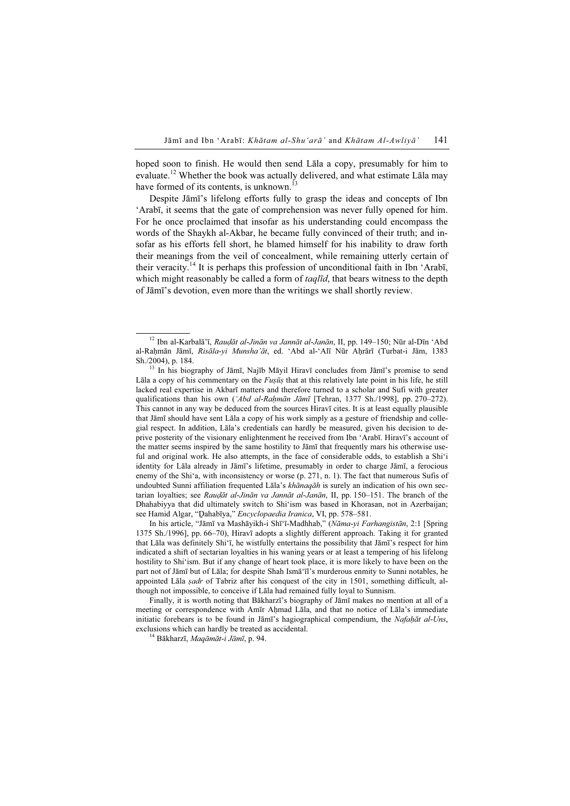hoped soon to finish. He would then send Lāla a copy, presumably for him to evaluate.<sup>12</sup> Whether the book was actually delivered, and what estimate Lala may have formed of its contents, is unknown.<sup>13</sup>

Despite Jāmī's lifelong efforts fully to grasp the ideas and concepts of Ibn 'Arabī, it seems that the gate of comprehension was never fully opened for him. For he once proclaimed that insofar as his understanding could encompass the words of the Shaykh al-Akbar, he became fully convinced of their truth; and insofar as his efforts fell short, he blamed himself for his inability to draw forth their meanings from the veil of concealment, while remaining utterly certain of their veracity.<sup>14</sup> It is perhaps this profession of unconditional faith in Ibn 'Arabī, which might reasonably be called a form of *taqlid*, that bears witness to the depth of Jāmī's devotion, even more than the writings we shall shortly review.

In his article, "Jāmī va Mashāyikh-i Shī'ī-Madhhab," (Nāma-yi Farhangistān, 2:1 [Spring 1375 Sh./1996], pp. 66–70), Hiravī adopts a slightly different approach. Taking it for granted that Lāla was definitely Shi'ī, he wistfully entertains the possibility that Jāmī's respect for him indicated a shift of sectarian loyalties in his waning years or at least a tempering of his lifelong hostility to Shi'ism. But if any change of heart took place, it is more likely to have been on the part not of Jāmī but of Lāla; for despite Shah Ismā'īl's murderous enmity to Sunni notables, he appointed Lala *sadr* of Tabriz after his conquest of the city in 1501, something difficult, although not impossible, to conceive if Lāla had remained fully loyal to Sunnism.

Finally, it is worth noting that Bākharzī's biography of Jāmī makes no mention at all of a meeting or correspondence with Amīr Aḥmad Lāla, and that no notice of Lāla's immediate initiatic forebears is to be found in Jāmī's hagiographical compendium, the Nafahāt al-Uns, exclusions which can hardly be treated as accidental. <sup>14</sup> Bākharzī, Maqāmāt-<sup>i</sup> Jāmī, p. 94.

<sup>&</sup>lt;sup>12</sup> Ibn al-Karbalā'ī, Raudāt al-Jinān va Jannāt al-Janān, II, pp. 149–150; Nūr al-Dīn 'Abd al-Rahmān Jāmī, Risāla-yi Munsha'āt, ed. 'Abd al-'Alī Nūr Ahrārī (Turbat-i Jām, 1383 Sh./2004), p. 184.<br><sup>13</sup> In his biography of Jāmī, Najīb Māyil Hiravī concludes from Jāmī's promise to send

Lāla a copy of his commentary on the  $Fus\bar{u}s$  that at this relatively late point in his life, he still lacked real expertise in Akbarī matters and therefore turned to a scholar and Sufi with greater qualifications than his own ('Abd al-Raḥmān Jāmī [Tehran, 1377 Sh./1998], pp. 270–272). This cannot in any way be deduced from the sources Hiravī cites. It is at least equally plausible that Jāmī should have sent Lāla a copy of his work simply as a gesture of friendship and collegial respect. In addition, Lāla's credentials can hardly be measured, given his decision to deprive posterity of the visionary enlightenment he received from Ibn 'Arabī. Hiravī's account of the matter seems inspired by the same hostility to Jāmī that frequently mars his otherwise useful and original work. He also attempts, in the face of considerable odds, to establish a Shi'i identity for Lāla already in Jāmī's lifetime, presumably in order to charge Jāmī, a ferocious enemy of the Shi'a, with inconsistency or worse (p. 271, n. 1). The fact that numerous Sufis of undoubted Sunni affiliation frequented Lāla's khānaqāh is surely an indication of his own sectarian loyalties; see Raudāt al-Jinān va Jannāt al-Janān, II, pp. 150–151. The branch of the Dhahabiyya that did ultimately switch to Shi'ism was based in Khorasan, not in Azerbaijan; see Hamid Algar, "Dahabīya," Encyclopaedia Iranica, VI, pp. 578-581.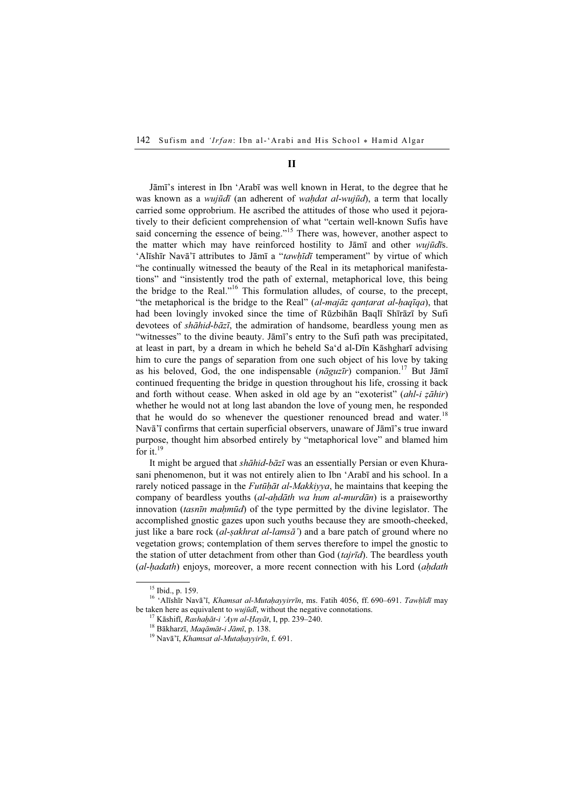### II

Jāmī's interest in Ibn 'Arabī was well known in Herat, to the degree that he was known as a *wujūdī* (an adherent of *wahdat al-wujūd*), a term that locally carried some opprobrium. He ascribed the attitudes of those who used it pejoratively to their deficient comprehension of what "certain well-known Sufis have said concerning the essence of being."<sup>15</sup> There was, however, another aspect to the matter which may have reinforced hostility to Jāmī and other *wujūdīs*. 'Alīshīr Navā'ī attributes to Jāmī a "tawhīdī temperament" by virtue of which "he continually witnessed the beauty of the Real in its metaphorical manifestations" and "insistently trod the path of external, metaphorical love, this being the bridge to the Real."<sup>16</sup> This formulation alludes, of course, to the precept, "the metaphorical is the bridge to the Real" (al-majāz qantarat al-haqīqa), that had been lovingly invoked since the time of Rūzbihān Baqlī Shīrāzī by Sufi devotees of shāhid-bāzī, the admiration of handsome, beardless young men as "witnesses" to the divine beauty. Jāmī's entry to the Sufi path was precipitated, at least in part, by a dream in which he beheld Sa'd al-Dīn Kāshgharī advising him to cure the pangs of separation from one such object of his love by taking as his beloved, God, the one indispensable ( $nāguzīr$ ) companion.<sup>17</sup> But Jāmī continued frequenting the bridge in question throughout his life, crossing it back and forth without cease. When asked in old age by an "exoterist"  $(ahI-i\overline{z}\overline{ah}ir)$ whether he would not at long last abandon the love of young men, he responded that he would do so whenever the questioner renounced bread and water.<sup>18</sup> Navā'ī confirms that certain superficial observers, unaware of Jāmī's true inward purpose, thought him absorbed entirely by "metaphorical love" and blamed him for it. $19$ 

It might be argued that *shāhid-bāzī* was an essentially Persian or even Khurasani phenomenon, but it was not entirely alien to Ibn 'Arabī and his school. In a rarely noticed passage in the *Futūḥāt al-Makkiyya*, he maintains that keeping the company of beardless youths *(al-aḥdāth wa hum al-murdān)* is a praiseworthy innovation *(tasnīn maḥmūd)* of the type permitted by the divine legislator. The accomplished gnostic gazes upon such youths because they are smooth-cheeked, just like a bare rock (al-sakhrat al-lamsa') and a bare patch of ground where no vegetation grows; contemplation of them serves therefore to impel the gnostic to the station of utter detachment from other than God (tajrīd). The beardless youth (al-hadath) enjoys, moreover, a more recent connection with his Lord (ahdath

<sup>15</sup> Ibid., p. 159.

<sup>&</sup>lt;sup>16</sup> 'Alīshīr Navā'ī, Khamsat al-Mutaḥayyirrīn, ms. Fatih 4056, ff. 690-691. Tawḥīdī may be taken here as equivalent to *wujūdī*, without the negative connotations.<br><sup>17</sup> Kāshifī, *Rashaḥāt-i 'Ayn al-Ḥayāt*, I, pp. 239–240.<br><sup>18</sup> Bākharzī, *Maqāmāt-i Jāmī*, p. 138. <sup>19</sup> Navā'ī, *Khamsat al-Mutaḥayyirīn*, f. 691.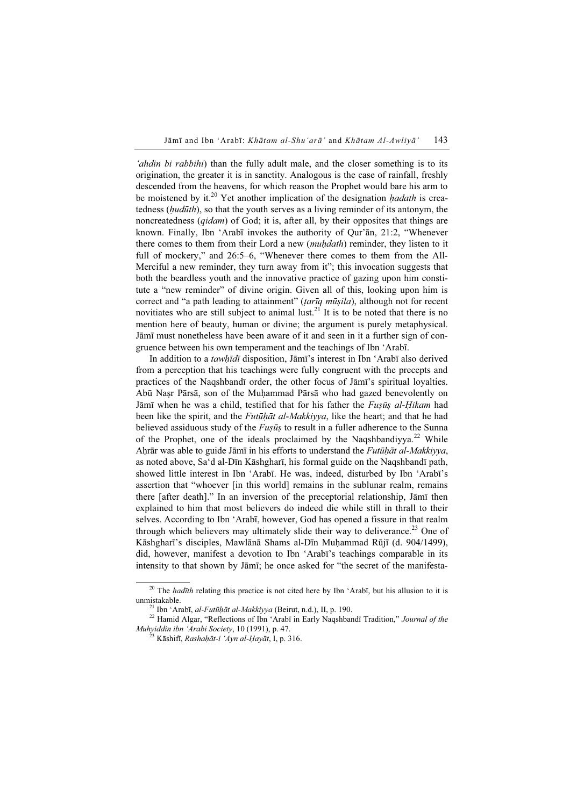'ahdin bi rabbihi) than the fully adult male, and the closer something is to its origination, the greater it is in sanctity. Analogous is the case of rainfall, freshly descended from the heavens, for which reason the Prophet would bare his arm to be moistened by it.<sup>20</sup> Yet another implication of the designation *hadath* is createdness  $(hudūth)$ , so that the youth serves as a living reminder of its antonym, the noncreatedness (*qidam*) of God; it is, after all, by their opposites that things are known. Finally, Ibn 'Arabī invokes the authority of Qur'ān, 21:2, "Whenever there comes to them from their Lord a new *(muhdath)* reminder, they listen to it full of mockery," and 26:5–6, "Whenever there comes to them from the All-Merciful a new reminder, they turn away from it"; this invocation suggests that both the beardless youth and the innovative practice of gazing upon him constitute a "new reminder" of divine origin. Given all of this, looking upon him is correct and "a path leading to attainment" (tarīq mūṣila), although not for recent novitiates who are still subject to animal lust.<sup>21</sup> It is to be noted that there is no mention here of beauty, human or divine; the argument is purely metaphysical. Jāmī must nonetheless have been aware of it and seen in it a further sign of congruence between his own temperament and the teachings of Ibn 'Arabī.

In addition to a tawhīdī disposition, Jāmī's interest in Ibn 'Arabī also derived from a perception that his teachings were fully congruent with the precepts and practices of the Naqshbandī order, the other focus of Jāmī's spiritual loyalties. Abū Nasr Pārsā, son of the Muhammad Pārsā who had gazed benevolently on Jāmī when he was a child, testified that for his father the *Fusūs al-Hikam* had been like the spirit, and the *Futūhāt al-Makkiyya*, like the heart; and that he had believed assiduous study of the  $F \iota\iota s \bar{\iota} s$  to result in a fuller adherence to the Sunna of the Prophet, one of the ideals proclaimed by the Naqshbandiyya.<sup>22</sup> While Ahrār was able to guide Jāmī in his efforts to understand the *Futūhāt al-Makkiyya*, as noted above, Sa'd al-Dīn Kāshgharī, his formal guide on the Naqshbandī path, showed little interest in Ibn 'Arabī. He was, indeed, disturbed by Ibn 'Arabī's assertion that "whoever [in this world] remains in the sublunar realm, remains there [after death]." In an inversion of the preceptorial relationship, Jāmī then explained to him that most believers do indeed die while still in thrall to their selves. According to Ibn 'Arabī, however, God has opened a fissure in that realm through which believers may ultimately slide their way to deliverance.<sup>23</sup> One of Kāshgharī's disciples, Mawlānā Shams al-Dīn Muḥammad Rūjī (d. 904/1499), did, however, manifest a devotion to Ibn 'Arabī's teachings comparable in its intensity to that shown by Jāmī; he once asked for "the secret of the manifesta-

<sup>&</sup>lt;sup>20</sup> The *hadīth* relating this practice is not cited here by Ibn 'Arabī, but his allusion to it is

unmistakable.<br><sup>21</sup> Ibn 'Arabī, *al-Futūḥāt al-Makkiyya* (Beirut, n.d.), II, p. 190.<br><sup>22</sup> Hamid Algar, "Reflections of Ibn 'Arabī in Early Naqshbandī Tradition," *Journal of the Muhyiddin ibn 'Arabi Society*, 10 (1991), p.

<sup>&</sup>lt;sup>23</sup> Kāshifī, Rashaḥāt-i 'Ayn al-Ḥayāt, I, p. 316.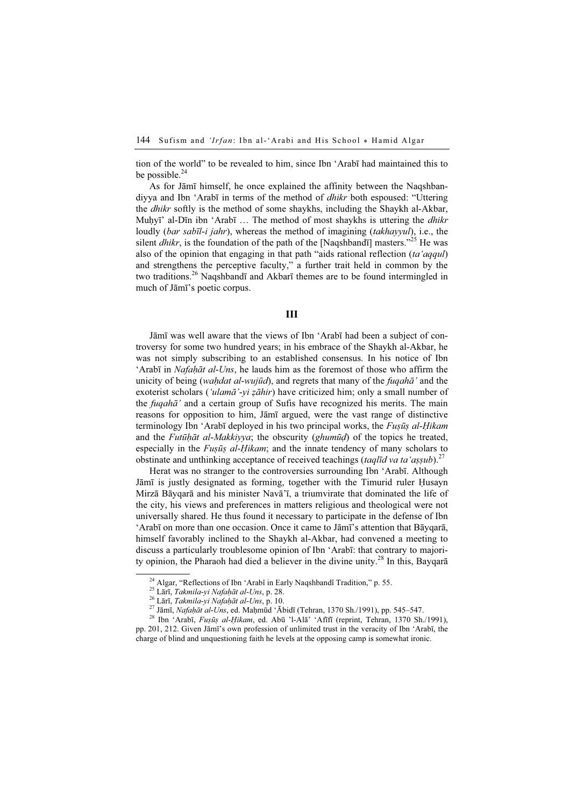tion of the world" to be revealed to him, since Ibn 'Arabī had maintained this to be possible. $^{24}$ 

As for Jāmī himself, he once explained the affinity between the Naqshbandiyya and Ibn 'Arabī in terms of the method of dhikr both espoused: "Uttering the dhikr softly is the method of some shaykhs, including the Shaykh al-Akbar, Muhyī' al-Dīn ibn 'Arabī ... The method of most shaykhs is uttering the *dhikr* loudly (*bar sabīl-i jahr*), whereas the method of imagining (*takhayyul*), i.e., the silent *dhikr*, is the foundation of the path of the [Naqshband<del>i</del>] masters."<sup>25</sup> He was also of the opinion that engaging in that path "aids rational reflection  $(ta' a q q u)$ " and strengthens the perceptive faculty," a further trait held in common by the two traditions.<sup>26</sup> Naqshbandī and Akbarī themes are to be found intermingled in much of Jāmī's poetic corpus.

#### III

Jāmī was well aware that the views of Ibn 'Arabī had been a subject of controversy for some two hundred years; in his embrace of the Shaykh al-Akbar, he was not simply subscribing to an established consensus. In his notice of Ibn 'Arabī in *Nafahāt al-Uns*, he lauds him as the foremost of those who affirm the unicity of being (wahdat al-wujūd), and regrets that many of the fugah $\bar{a}$  and the exoterist scholars ('ulamā'-yi zāhir) have criticized him; only a small number of the *fugaha*' and a certain group of Sufis have recognized his merits. The main reasons for opposition to him, Jāmī argued, were the vast range of distinctive terminology Ibn 'Arabī deployed in his two principal works, the *Fusūs al-Hikam* and the *Futūḥāt al-Makkiyya*; the obscurity (*ghumūd*) of the topics he treated, especially in the  $F \mu s \bar{u} s$  al-Hikam; and the innate tendency of many scholars to obstinate and unthinking acceptance of received teachings (taqlīd va ta'aṣṣub).<sup>27</sup>

Herat was no stranger to the controversies surrounding Ibn 'Arabī. Although Jāmī is justly designated as forming, together with the Timurid ruler Ḥusayn Mirzā Bāyqarā and his minister Navā'ī, a triumvirate that dominated the life of the city, his views and preferences in matters religious and theological were not universally shared. He thus found it necessary to participate in the defense of Ibn 'Arabī on more than one occasion. Once it came to Jāmī's attention that Bāyqarā, himself favorably inclined to the Shaykh al-Akbar, had convened a meeting to discuss a particularly troublesome opinion of Ibn 'Arabī: that contrary to majority opinion, the Pharaoh had died a believer in the divine unity.<sup>28</sup> In this, Bayqara

<sup>&</sup>lt;sup>24</sup> Algar, "Reflections of Ibn 'Arabî in Early Naqshbandî Tradition," p. 55.<br><sup>25</sup> Lārī, *Takmila-yi Nafahāt al-Uns*, p. 28.<br><sup>26</sup> Lārī, *Takmila-yi Nafahāt al-Uns*, p. 10.<br><sup>27</sup> Jāmī, *Nafahāt al-Uns*, ed. Maḥmūd 'Ābidī (T

pp. 201, 212. Given Jāmī's own profession of unlimited trust in the veracity of Ibn 'Arabī, the charge of blind and unquestioning faith he levels at the opposing camp is somewhat ironic.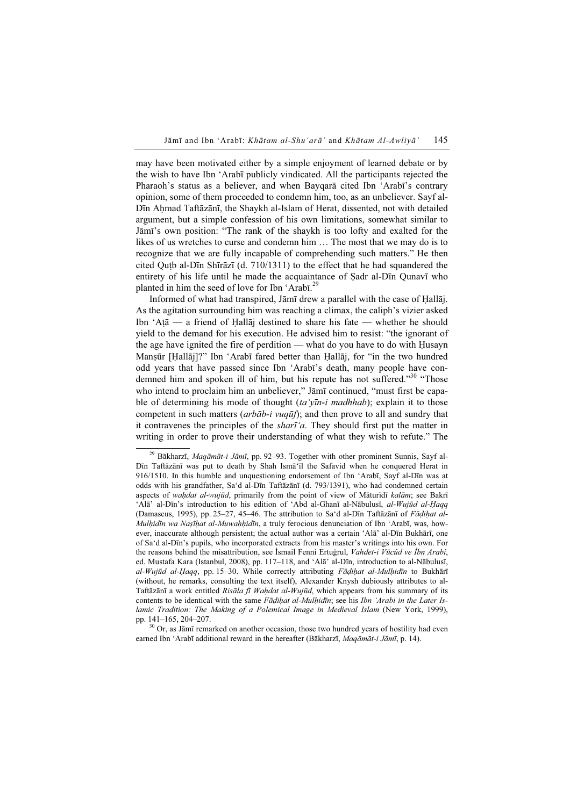may have been motivated either by a simple enjoyment of learned debate or by the wish to have Ibn 'Arabī publicly vindicated. All the participants rejected the Pharaoh's status as a believer, and when Bayqarā cited Ibn 'Arabī's contrary opinion, some of them proceeded to condemn him, too, as an unbeliever. Sayf al-Dīn Ahmad Taftāzānī, the Shaykh al-Islam of Herat, dissented, not with detailed argument, but a simple confession of his own limitations, somewhat similar to Jāmī's own position: "The rank of the shaykh is too lofty and exalted for the likes of us wretches to curse and condemn him … The most that we may do is to recognize that we are fully incapable of comprehending such matters." He then cited Quṭb al-Dīn Shīrāzī (d. 710/1311) to the effect that he had squandered the entirety of his life until he made the acquaintance of Ṣadr al-Dīn Qunavī who planted in him the seed of love for Ibn 'Arabī.<sup>29</sup>

Informed of what had transpired, Jāmī drew a parallel with the case of Ḥallāj. As the agitation surrounding him was reaching a climax, the caliph's vizier asked Ibn 'Aṭā — a friend of Ḥallāj destined to share his fate — whether he should yield to the demand for his execution. He advised him to resist: "the ignorant of the age have ignited the fire of perdition — what do you have to do with Ḥusayn Mansūr [Hallāj]?" Ibn 'Arabī fared better than Hallāj, for "in the two hundred odd years that have passed since Ibn 'Arabī's death, many people have condemned him and spoken ill of him, but his repute has not suffered."<sup>30</sup> "Those who intend to proclaim him an unbeliever," Jāmī continued, "must first be capable of determining his mode of thought  $(ta'y\bar{u}-i m \alpha dhhab)$ ; explain it to those competent in such matters (*arbāb-i vuqūf*); and then prove to all and sundry that it contravenes the principles of the *shart'a*. They should first put the matter in writing in order to prove their understanding of what they wish to refute." The

<sup>&</sup>lt;sup>29</sup> Bākharzī, *Maqāmāt-i Jāmī*, pp. 92–93. Together with other prominent Sunnis, Sayf al-Dīn Taftāzānī was put to death by Shah Ismā'īl the Safavid when he conquered Herat in 916/1510. In this humble and unquestioning endorsement of Ibn 'Arabī, Sayf al-Dīn was at odds with his grandfather, Sa'd al-Dīn Taftāzānī (d. 793/1391), who had condemned certain aspects of wahdat al-wujūd, primarily from the point of view of Māturīdī kalām; see Bakrī 'Alā' al-Dīn's introduction to his edition of 'Abd al-Ghanī al-Nābulusī, al-Wujūd al-Ḥaqq (Damascus, 1995), pp. 25–27, 45–46. The attribution to Sa'd al-Dīn Taftāzānī of Fāḍiḥat al-Mulhidīn wa Naṣīḥat al-Muwaḥḥidīn, a truly ferocious denunciation of Ibn 'Arabī, was, however, inaccurate although persistent; the actual author was a certain 'Alā' al-Dīn Bukhārī, one of Sa'd al-Dīn's pupils, who incorporated extracts from his master's writings into his own. For the reasons behind the misattribution, see İsmail Fenni Ertuğrul, Vahdet-i Vücûd ve İbn Arabî, ed. Mustafa Kara (Istanbul, 2008), pp. 117–118, and 'Alā' al-Dīn, introduction to al-Nābulusī,  $al-Wujiūd$  al-Haqq, pp. 15–30. While correctly attributing Fādihat al-Mulhidīn to Bukhārī (without, he remarks, consulting the text itself), Alexander Knysh dubiously attributes to al-Taftāzānī a work entitled Risāla fī Waḥdat al-Wujūd, which appears from his summary of its contents to be identical with the same Fādihat al-Mulhidīn; see his Ibn 'Arabi in the Later Islamic Tradition: The Making of a Polemical Image in Medieval Islam (New York, 1999),

pp.  $141-165$ ,  $204-207$ .<br><sup>30</sup> Or, as Jāmī remarked on another occasion, those two hundred years of hostility had even earned Ibn 'Arabī additional reward in the hereafter (Bākharzī, Maqāmāt-i Jāmī, p. 14).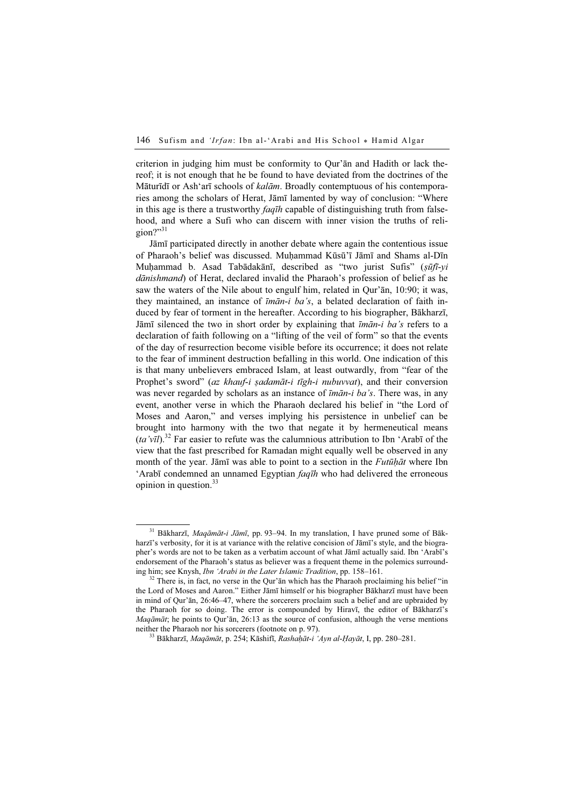criterion in judging him must be conformity to Qur'ān and Hadith or lack thereof; it is not enough that he be found to have deviated from the doctrines of the Māturīdī or Ash'arī schools of kalām. Broadly contemptuous of his contemporaries among the scholars of Herat, Jāmī lamented by way of conclusion: "Where in this age is there a trustworthy  $faq\bar{q}h$  capable of distinguishing truth from falsehood, and where a Sufi who can discern with inner vision the truths of religion?" $31$ 

Jāmī participated directly in another debate where again the contentious issue of Pharaoh's belief was discussed. Muḥammad Kūsū'ī Jāmī and Shams al-Dīn Muhammad b. Asad Tabādakānī, described as "two jurist Sufis" (sūfī-yi dānishmand) of Herat, declared invalid the Pharaoh's profession of belief as he saw the waters of the Nile about to engulf him, related in Qur'ān, 10:90; it was, they maintained, an instance of  $\overline{\textit{im}}\overline{\textit{an-i}}$  ba's, a belated declaration of faith induced by fear of torment in the hereafter. According to his biographer, Bākharzī, Jāmī silenced the two in short order by explaining that  $\overline{\text{im}}\overline{\text{an}}$ -i ba's refers to a declaration of faith following on a "lifting of the veil of form" so that the events of the day of resurrection become visible before its occurrence; it does not relate to the fear of imminent destruction befalling in this world. One indication of this is that many unbelievers embraced Islam, at least outwardly, from "fear of the Prophet's sword" (az khauf-i sadamāt-i tīgh-i nubuvvat), and their conversion was never regarded by scholars as an instance of  $\overline{\textit{im}}\overline{\textit{an-i}}$  ba's. There was, in any event, another verse in which the Pharaoh declared his belief in "the Lord of Moses and Aaron," and verses implying his persistence in unbelief can be brought into harmony with the two that negate it by hermeneutical means (ta'vīl).<sup>32</sup> Far easier to refute was the calumnious attribution to Ibn 'Arabī of the view that the fast prescribed for Ramadan might equally well be observed in any month of the year. Jāmī was able to point to a section in the *Futūhāt* where Ibn 'Arabī condemned an unnamed Egyptian *faqīh* who had delivered the erroneous opinion in question. $33$ 

<sup>&</sup>lt;sup>31</sup> Bākharzī, Maqāmāt-i Jāmī, pp. 93-94. In my translation, I have pruned some of Bākharzī's verbosity, for it is at variance with the relative concision of Jāmī's style, and the biographer's words are not to be taken as a verbatim account of what Jāmī actually said. Ibn 'Arabī's endorsement of the Pharaoh's status as believer was a frequent theme in the polemics surrounding him; see Knysh, *Ibn 'Arabi in the Later Islamic Tradition*, pp. 158–161.<br><sup>32</sup> There is, in fact, no verse in the Qur'ān which has the Pharaoh proclaiming his belief "in

the Lord of Moses and Aaron." Either Jāmī himself or his biographer Bākharzī must have been in mind of Qur'ān, 26:46–47, where the sorcerers proclaim such a belief and are upbraided by the Pharaoh for so doing. The error is compounded by Hiravī, the editor of Bākharzī's Maqāmāt; he points to Qur'ān, 26:13 as the source of confusion, although the verse mentions neither the Pharaoh nor his sorcerers (footnote on p. 97).<br><sup>33</sup> Bākharzī, *Maqāmāt*, p. 254; Kāshifī, *Rashaḥāt-i 'Ayn al-Hayāt*, I, pp. 280–281.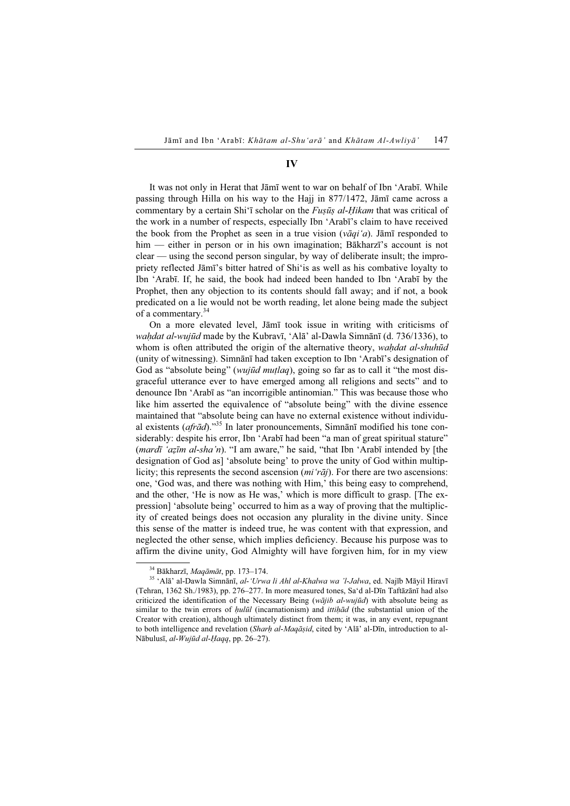### IV

It was not only in Herat that Jāmī went to war on behalf of Ibn 'Arabī. While passing through Hilla on his way to the Hajj in 877/1472, Jāmī came across a commentary by a certain Shi'i scholar on the *Fusus al-Hikam* that was critical of the work in a number of respects, especially Ibn 'Arabī's claim to have received the book from the Prophet as seen in a true vision  $(v\bar{a}qi'a)$ . Jāmī responded to him — either in person or in his own imagination; Bākharzī's account is not clear — using the second person singular, by way of deliberate insult; the impropriety reflected Jāmī's bitter hatred of Shi'is as well as his combative loyalty to Ibn 'Arabī. If, he said, the book had indeed been handed to Ibn 'Arabī by the Prophet, then any objection to its contents should fall away; and if not, a book predicated on a lie would not be worth reading, let alone being made the subject of a commentary.<sup>34</sup>

On a more elevated level, Jāmī took issue in writing with criticisms of wahdat al-wujūd made by the Kubravī, 'Alā' al-Dawla Simnānī (d. 736/1336), to whom is often attributed the origin of the alternative theory, wahdat al-shuhūd (unity of witnessing). Simnānī had taken exception to Ibn 'Arabī's designation of God as "absolute being" (*wujūd mutlaq*), going so far as to call it "the most disgraceful utterance ever to have emerged among all religions and sects" and to denounce Ibn 'Arabī as "an incorrigible antinomian." This was because those who like him asserted the equivalence of "absolute being" with the divine essence maintained that "absolute being can have no external existence without individual existents (afrād)."<sup>35</sup> In later pronouncements, Simnānī modified his tone considerably: despite his error, Ibn 'Arabī had been "a man of great spiritual stature" (mardī 'azīm al-sha'n). "I am aware," he said, "that Ibn 'Arabī intended by [the designation of God as] 'absolute being' to prove the unity of God within multiplicity; this represents the second ascension  $(mi' \r{r} \bar{a}j)$ . For there are two ascensions: one, 'God was, and there was nothing with Him,' this being easy to comprehend, and the other, 'He is now as He was,' which is more difficult to grasp. [The expression] 'absolute being' occurred to him as a way of proving that the multiplicity of created beings does not occasion any plurality in the divine unity. Since this sense of the matter is indeed true, he was content with that expression, and neglected the other sense, which implies deficiency. Because his purpose was to affirm the divine unity, God Almighty will have forgiven him, for in my view

<sup>&</sup>lt;sup>34</sup> Bākharzī, *Maqāmāt*, pp. 173–174.<br><sup>35</sup> 'Alā' al-Dawla Simnānī, *al-'Urwa li Ahl al-Khalwa wa 'l-Jalwa*, ed. Najīb Māyil Hiravī (Tehran, 1362 Sh./1983), pp. 276–277. In more measured tones, Sa'd al-Dīn Taftāzānī had also criticized the identification of the Necessary Being (wajjib al-wujūd) with absolute being as similar to the twin errors of *hulūl* (incarnationism) and *ittihād* (the substantial union of the Creator with creation), although ultimately distinct from them; it was, in any event, repugnant to both intelligence and revelation (Sharh al-Maqāṣid, cited by 'Alā' al-Dīn, introduction to al-Nābulusī, al-Wujūd al-Haqq, pp. 26–27).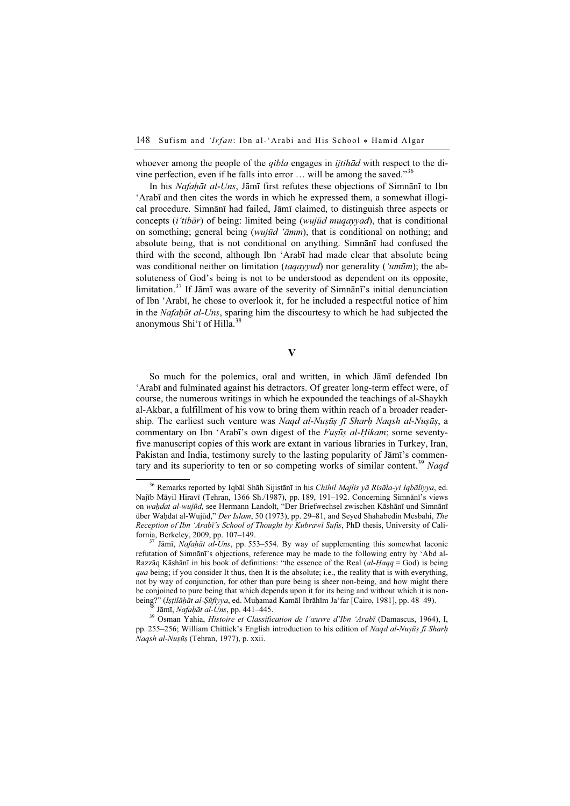whoever among the people of the *qibla* engages in *ijtihad* with respect to the divine perfection, even if he falls into error  $\dots$  will be among the saved."<sup>36</sup>

In his Nafaḥāt al-Uns, Jāmī first refutes these objections of Simnānī to Ibn 'Arabī and then cites the words in which he expressed them, a somewhat illogical procedure. Simnānī had failed, Jāmī claimed, to distinguish three aspects or concepts (*i'tibār*) of being: limited being (*wujūd muqayyad*), that is conditional on something; general being (wujūd ' $\bar{a}mm$ ), that is conditional on nothing; and absolute being, that is not conditional on anything. Simnānī had confused the third with the second, although Ibn 'Arabī had made clear that absolute being was conditional neither on limitation (taqayyud) nor generality ('umūm); the absoluteness of God's being is not to be understood as dependent on its opposite, limitation.<sup>37</sup> If Jāmī was aware of the severity of Simnānī's initial denunciation of Ibn 'Arabī, he chose to overlook it, for he included a respectful notice of him in the Nafaḥāt al-Uns, sparing him the discourtesy to which he had subjected the anonymous Shi'ī of Hilla.<sup>38</sup>

#### V

So much for the polemics, oral and written, in which Jāmī defended Ibn 'Arabī and fulminated against his detractors. Of greater long-term effect were, of course, the numerous writings in which he expounded the teachings of al-Shaykh al-Akbar, a fulfillment of his vow to bring them within reach of a broader readership. The earliest such venture was *Naqd al-Nuṣūṣ fī Sharh Naqsh al-Nuṣūṣ*, a commentary on Ibn 'Arabī's own digest of the *Fuṣūṣ al-Ḥikam*; some seventyfive manuscript copies of this work are extant in various libraries in Turkey, Iran, Pakistan and India, testimony surely to the lasting popularity of Jāmī's commentary and its superiority to ten or so competing works of similar content.<sup>39</sup> Nagd

<sup>&</sup>lt;sup>36</sup> Remarks reported by Iqbāl Shāh Sijistānī in his Chihil Majlis yā Risāla-yi Iqbāliyya, ed. Najīb Māyil Hiravī (Tehran, 1366 Sh./1987), pp. 189, 191–192. Concerning Simnānī's views on wahdat al-wujūd, see Hermann Landolt, "Der Briefwechsel zwischen Kāshānī und Simnānī über Waḥdat al-Wujūd," Der Islam, 50 (1973), pp. 29–81, and Seyed Shahabedin Mesbahi, The Reception of Ibn 'Arabī's School of Thought by Kubrawī Sufis, PhD thesis, University of California, Berkeley, 2009, pp. 107–149.<br><sup>37</sup> Jāmī, *Nafaḥāt al-Uns*, pp. 553–554. By way of supplementing this somewhat laconic

refutation of Simnānī's objections, reference may be made to the following entry by 'Abd al-Razzāq Kāshānī in his book of definitions: "the essence of the Real (al-Haqq = God) is being qua being; if you consider It thus, then It is the absolute; i.e., the reality that is with everything, not by way of conjunction, for other than pure being is sheer non-being, and how might there be conjoined to pure being that which depends upon it for its being and without which it is non-

being?" (Iṣṭilāḥāt al-Ṣūfiyya, ed. Muḥamad Kamāl Ibrāhīm Ja'far [Cairo, 1981], pp. 48–49).<br><sup>38</sup> Jāmī, *Nafaḥāt al-Uns*, pp. 441–445.<br><sup>39</sup> Osman Yahia, *Histoire et Classification de l'œuvre d'Ibn 'Arabī* (Damascus, 1964), pp. 255–256; William Chittick's English introduction to his edition of Naqd al-Nuṣūṣ fī Sharh Naqsh al-Nuṣūṣ (Tehran, 1977), p. xxii.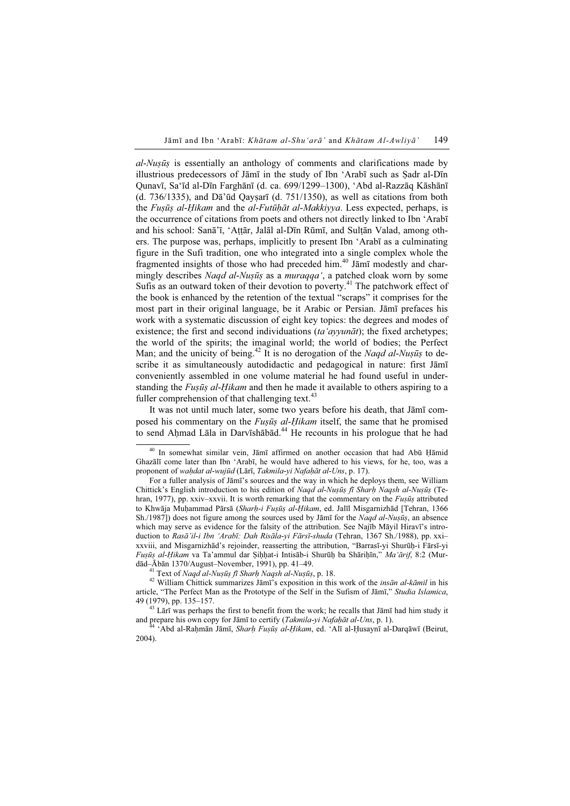al-Nuṣūṣ is essentially an anthology of comments and clarifications made by illustrious predecessors of Jāmī in the study of Ibn 'Arabī such as Ṣadr al-Dīn Qunavī, Sa'īd al-Dīn Farghānī (d. ca. 699/1299–1300), 'Abd al-Razzāq Kāshānī (d. 736/1335), and Dā'ūd Qayṣarī (d. 751/1350), as well as citations from both the *Fusūs al-Hikam* and the *al-Futūhāt al-Makkiyya*. Less expected, perhaps, is the occurrence of citations from poets and others not directly linked to Ibn 'Arabī and his school: Sanā'ī, 'Aṭṭār, Jalāl al-Dīn Rūmī, and Sulṭān Valad, among others. The purpose was, perhaps, implicitly to present Ibn 'Arabī as a culminating figure in the Sufi tradition, one who integrated into a single complex whole the fragmented insights of those who had preceded him.<sup>40</sup> Jami modestly and charmingly describes Nagd al-Nusūs as a muragga', a patched cloak worn by some Sufis as an outward token of their devotion to poverty.<sup>41</sup> The patchwork effect of the book is enhanced by the retention of the textual "scraps" it comprises for the most part in their original language, be it Arabic or Persian. Jāmī prefaces his work with a systematic discussion of eight key topics: the degrees and modes of existence; the first and second individuations (ta'ayyun $\bar{a}t$ ); the fixed archetypes; the world of the spirits; the imaginal world; the world of bodies; the Perfect Man; and the unicity of being.<sup>42</sup> It is no derogation of the *Naqd al-Nusus* to describe it as simultaneously autodidactic and pedagogical in nature: first Jāmī conveniently assembled in one volume material he had found useful in understanding the *Fusūs al-Hikam* and then he made it available to others aspiring to a fuller comprehension of that challenging text. $43$ 

It was not until much later, some two years before his death, that Jāmī composed his commentary on the *Fusūs al-Hikam* itself, the same that he promised to send Ahmad Lāla in Darvīshābād.<sup>44</sup> He recounts in his prologue that he had

<sup>40</sup> In somewhat similar vein, Jāmī affirmed on another occasion that had Abū Ḥāmid Ghazālī come later than Ibn 'Arabī, he would have adhered to his views, for he, too, was a proponent of waḥdat al-wujūd (Lārī, Takmila-yi Nafaḥāt al-Uns, p. 17).

For a fuller analysis of Jāmī's sources and the way in which he deploys them, see William Chittick's English introduction to his edition of Naqd al-Nuṣūṣ fī Sharḥ Naqsh al-Nuṣūṣ (Tehran, 1977), pp. xxiv–xxvii. It is worth remarking that the commentary on the Fusūs attributed to Khwāja Muhammad Pārsā (Sharh-i Fuṣūṣ al-Hikam, ed. Jalīl Misgarnizhād [Tehran, 1366 Sh./1987]) does not figure among the sources used by Jāmī for the *Naqd al-Nuṣūṣ*, an absence which may serve as evidence for the falsity of the attribution. See Najīb Māyil Hiravī's introduction to Rasā'il-i Ibn 'Arabī: Dah Risāla-yi Fārsī-shuda (Tehran, 1367 Sh./1988), pp. xxi– xxviii, and Misgarnizhād's rejoinder, reasserting the attribution, "Barrasī-yi Shurūḥ-i Fārsī-yi Fuṣūṣ al-Ḥikam va Ta'ammul dar Ṣiḥḥat-i Intisāb-i Shurūḥ ba Shāriḥīn," Ma'ārif, 8:2 (Mur-

dād–Ābān 1370/August–November, 1991), pp. 41–49.<br><sup>41</sup> Text of *Naqd al-Nuṣūṣ fī Sharḥ Naqsh al-Nuṣūṣ*, p. 18.<br><sup>42</sup> William Chittick summarizes Jāmī's exposition in this work of the *insān al-kāmil* in his article, "The Perfect Man as the Prototype of the Self in the Sufism of Jāmī," Studia Islamica, 49 (1979), pp. 135–157.

 $43$  Lari was perhaps the first to benefit from the work; he recalls that Jamī had him study it and prepare his own copy for Jāmī to certify (Takmila-yi Nafaḥāt al-Uns, p. 1).<br><sup>44</sup> 'Abd al-Raḥmān Jāmī, Sharḥ Fuṣūṣ al-Ḥikam, ed. 'Alī al-Ḥusaynī al-Darqāwī (Beirut,

<sup>2004).</sup>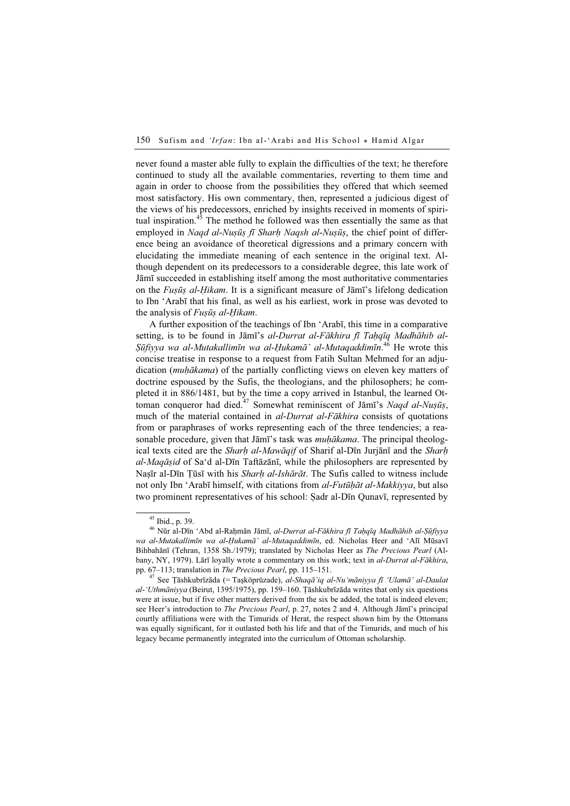never found a master able fully to explain the difficulties of the text; he therefore continued to study all the available commentaries, reverting to them time and again in order to choose from the possibilities they offered that which seemed most satisfactory. His own commentary, then, represented a judicious digest of the views of his predecessors, enriched by insights received in moments of spiritual inspiration.<sup>45</sup> The method he followed was then essentially the same as that employed in Naqd al-Nuṣūṣ fī Sharh Naqsh al-Nuṣūṣ, the chief point of difference being an avoidance of theoretical digressions and a primary concern with elucidating the immediate meaning of each sentence in the original text. Although dependent on its predecessors to a considerable degree, this late work of Jāmī succeeded in establishing itself among the most authoritative commentaries on the Fuṣūṣ al-Ḥikam. It is a significant measure of Jāmī's lifelong dedication to Ibn 'Arabī that his final, as well as his earliest, work in prose was devoted to the analysis of *Fusūs al-Hikam*.

A further exposition of the teachings of Ibn 'Arabī, this time in a comparative setting, is to be found in Jāmī's al-Durrat al-Fākhira fī Tahqīq Madhāhib al-Şūfiyya wa al-Mutakallimīn wa al-Ḥukamā' al-Mutaqaddimīn.<sup>46</sup> He wrote this concise treatise in response to a request from Fatih Sultan Mehmed for an adjudication *(muhākama)* of the partially conflicting views on eleven key matters of doctrine espoused by the Sufis, the theologians, and the philosophers; he completed it in 886/1481, but by the time a copy arrived in Istanbul, the learned Ottoman conqueror had died.<sup>47</sup> Somewhat reminiscent of Jāmī's Naqd al-Nuṣūṣ, much of the material contained in al-Durrat al-Fākhira consists of quotations from or paraphrases of works representing each of the three tendencies; a reasonable procedure, given that Jāmī's task was *muhākama*. The principal theological texts cited are the *Sharh al-Mawāqif* of Sharif al-Dīn Jurjānī and the *Sharh*  $al-Maq\bar{a}sid$  of Sa'd al-Dīn Taftāzānī, while the philosophers are represented by Nasīr al-Dīn Tūsī with his *Sharh al-Ishārāt*. The Sufis called to witness include not only Ibn 'Arabī himself, with citations from al-Futūḥāt al-Makkiyya, but also two prominent representatives of his school: Ṣadr al-Dīn Qunavī, represented by

al-'Uthmāniyya (Beirut, 1395/1975), pp. 159–160. Ṭāshkubrīzāda writes that only six questions were at issue, but if five other matters derived from the six be added, the total is indeed eleven; see Heer's introduction to *The Precious Pearl*, p. 27, notes 2 and 4. Although Jāmī's principal courtly affiliations were with the Timurids of Herat, the respect shown him by the Ottomans was equally significant, for it outlasted both his life and that of the Timurids, and much of his legacy became permanently integrated into the curriculum of Ottoman scholarship.

<sup>45</sup> Ibid., p. 39.

 $^{46}$ Nūr al-Dīn 'Abd al-Raḥmān Jāmī, al-Durrat al-Fākhira fī Taḥqīq Madhāhib al-Ṣūfiyya wa al-Mutakallimīn wa al-Ḥukamā' al-Mutaqaddimīn, ed. Nicholas Heer and 'Alī Mūsavī Bihbahānī (Tehran, 1358 Sh./1979); translated by Nicholas Heer as The Precious Pearl (Albany, NY, 1979). Lārī loyally wrote a commentary on this work; text in al-Durrat al-Fākhira, pp. 67–113; translation in *The Precious Pearl*, pp. 115–151.<br><sup>47</sup> See Ţāshkubrīzāda (= Taşköprüzade), *al-Shaqā'iq al-Nu'māniyya fī 'Ulamā' al-Daulat*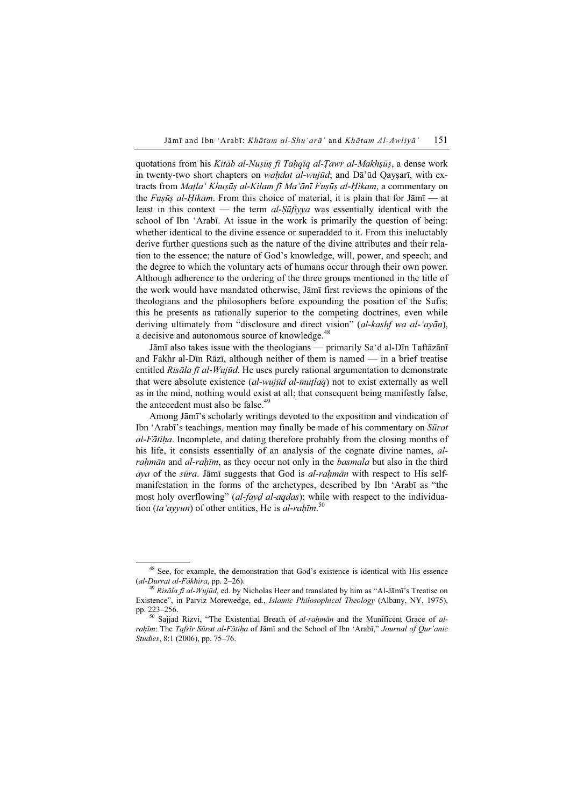quotations from his Kitāb al-Nuṣūṣ fī Tahqīq al-Tawr al-Makhṣūṣ, a dense work in twenty-two short chapters on *wahdat al-wujūd*; and Dā'ūd Qaysarī, with extracts from Maṭla' Khuṣūṣ al-Kilam fī Ma'ānī Fuṣūṣ al-Ḥikam, a commentary on the Fusūs al-Hikam. From this choice of material, it is plain that for  $J\bar{a}m\bar{b}$  — at least in this context — the term  $al-Sūfivya$  was essentially identical with the school of Ibn 'Arabī. At issue in the work is primarily the question of being: whether identical to the divine essence or superadded to it. From this ineluctably derive further questions such as the nature of the divine attributes and their relation to the essence; the nature of God's knowledge, will, power, and speech; and the degree to which the voluntary acts of humans occur through their own power. Although adherence to the ordering of the three groups mentioned in the title of the work would have mandated otherwise, Jāmī first reviews the opinions of the theologians and the philosophers before expounding the position of the Sufis; this he presents as rationally superior to the competing doctrines, even while deriving ultimately from "disclosure and direct vision" (al-kashf wa al-'ayān), a decisive and autonomous source of knowledge.<sup>48</sup>

Jāmī also takes issue with the theologians — primarily Sa'd al-Dīn Taftāzānī and Fakhr al-Dīn Rāzī, although neither of them is named — in a brief treatise entitled Risāla fī al-Wujūd. He uses purely rational argumentation to demonstrate that were absolute existence *(al-wujūd al-mutlaq)* not to exist externally as well as in the mind, nothing would exist at all; that consequent being manifestly false, the antecedent must also be false.<sup>49</sup>

Among Jāmī's scholarly writings devoted to the exposition and vindication of Ibn 'Arabī's teachings, mention may finally be made of his commentary on Sūrat al-Fātiḥa. Incomplete, and dating therefore probably from the closing months of his life, it consists essentially of an analysis of the cognate divine names, alrahmān and al-rahīm, as they occur not only in the basmala but also in the third  $\bar{a}$ ya of the sūra. Jāmī suggests that God is al-rahmān with respect to His selfmanifestation in the forms of the archetypes, described by Ibn 'Arabī as "the most holy overflowing" (al-fayd al-aqdas); while with respect to the individuation (ta'ayyun) of other entities, He is al-rahīm.<sup>50</sup>

<sup>&</sup>lt;sup>48</sup> See, for example, the demonstration that God's existence is identical with His essence  $(al-Durrat \, al-Fākhira$ , pp. 2–26).

<sup>&</sup>lt;sup>49</sup> Risāla fī al-Wujūd, ed. by Nicholas Heer and translated by him as "Al-Jāmī's Treatise on Existence", in Parviz Morewedge, ed., Islamic Philosophical Theology (Albany, NY, 1975),

pp. 223–256.<br><sup>50</sup> Sajjad Rizvi, "The Existential Breath of *al-raḥmān* and the Munificent Grace of *al*rahīm: The Tafsīr Sūrat al-Fātiha of Jāmī and the School of Ibn 'Arabī," Journal of Our'anic Studies, 8:1 (2006), pp. 75–76.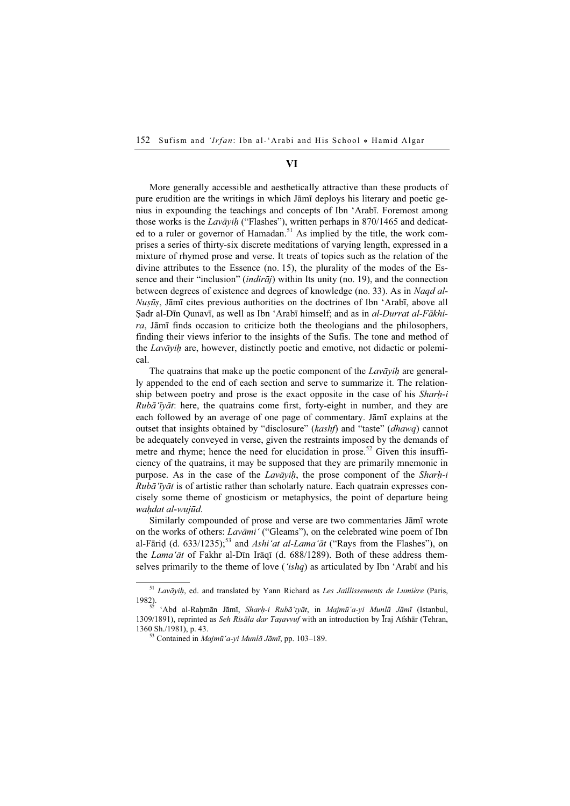## VI

More generally accessible and aesthetically attractive than these products of pure erudition are the writings in which Jāmī deploys his literary and poetic genius in expounding the teachings and concepts of Ibn 'Arabī. Foremost among those works is the Lavāyih ("Flashes"), written perhaps in  $870/1465$  and dedicated to a ruler or governor of Hamadan.<sup>51</sup> As implied by the title, the work comprises a series of thirty-six discrete meditations of varying length, expressed in a mixture of rhymed prose and verse. It treats of topics such as the relation of the divine attributes to the Essence (no. 15), the plurality of the modes of the Essence and their "inclusion" (*indirāj*) within Its unity (no. 19), and the connection between degrees of existence and degrees of knowledge (no. 33). As in Naqd al-Nuṣūṣ, Jāmī cites previous authorities on the doctrines of Ibn 'Arabī, above all Sadr al-Dīn Qunavī, as well as Ibn 'Arabī himself; and as in *al-Durrat al-Fākhi*ra, Jāmī finds occasion to criticize both the theologians and the philosophers, finding their views inferior to the insights of the Sufis. The tone and method of the Lavāyih are, however, distinctly poetic and emotive, not didactic or polemical.

The quatrains that make up the poetic component of the  $Law\bar{a}yih$  are generally appended to the end of each section and serve to summarize it. The relationship between poetry and prose is the exact opposite in the case of his *Sharh-i*  $Rub\bar{a}$ 'īyāt: here, the quatrains come first, forty-eight in number, and they are each followed by an average of one page of commentary. Jāmī explains at the outset that insights obtained by "disclosure" (kashf) and "taste" (dhawq) cannot be adequately conveyed in verse, given the restraints imposed by the demands of metre and rhyme; hence the need for elucidation in prose.<sup>52</sup> Given this insufficiency of the quatrains, it may be supposed that they are primarily mnemonic in purpose. As in the case of the Lavāyih, the prose component of the Sharh-i  $Rub\tilde{a}$  ivalidation rather than scholarly nature. Each quatrain expresses concisely some theme of gnosticism or metaphysics, the point of departure being waḥdat al-wujūd.

Similarly compounded of prose and verse are two commentaries Jāmī wrote on the works of others: Lavāmi' ("Gleams"), on the celebrated wine poem of Ibn al-Fāriḍ (d. 633/1235);<sup>53</sup> and *Ashi'at al-Lama'āt* ("Rays from the Flashes"), on the Lama'āt of Fakhr al-Dīn Irāqī (d. 688/1289). Both of these address themselves primarily to the theme of love (*'ishq*) as articulated by Ibn 'Arabī and his

 $51$  Lavāyiḥ, ed. and translated by Yann Richard as Les Jaillissements de Lumière (Paris,

<sup>1982).&</sup>lt;br>52 'Abd al-Raḥmān Jāmī, *Sharḥ-i Rubā'ıyāt*, in *Majmū'a-yi Munlā Jāmī* (Istanbul, 1309/1891), reprinted as Seh Risāla dar Taşavvuf with an introduction by Īraj Afshār (Tehran, 1360 Sh./1981), p. 43.<br> $^{53}$  Contained in *Majmū'a-yi Munlā Jāmī*, pp. 103–189.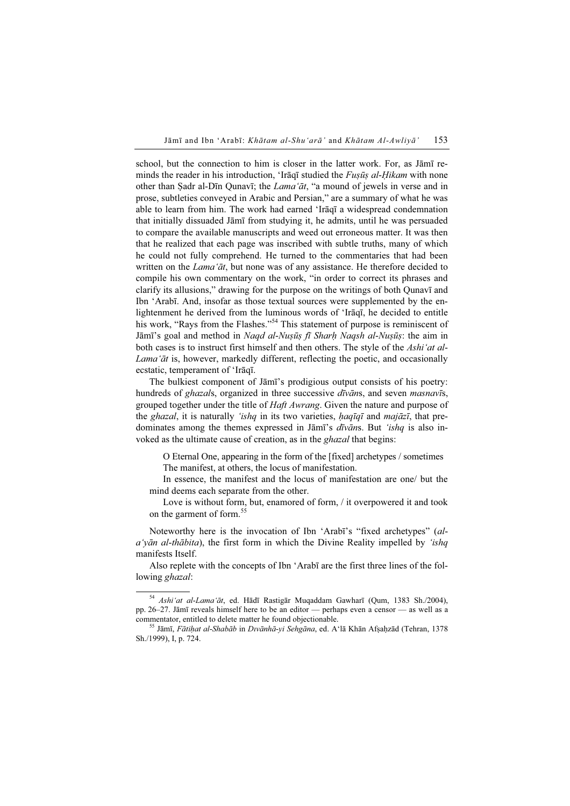school, but the connection to him is closer in the latter work. For, as Jāmī reminds the reader in his introduction, 'Irāqī studied the *Fusūs al-Hikam* with none other than Ṣadr al-Dīn Qunavī; the Lama'āt, "a mound of jewels in verse and in prose, subtleties conveyed in Arabic and Persian," are a summary of what he was able to learn from him. The work had earned 'Irāqī a widespread condemnation that initially dissuaded Jāmī from studying it, he admits, until he was persuaded to compare the available manuscripts and weed out erroneous matter. It was then that he realized that each page was inscribed with subtle truths, many of which he could not fully comprehend. He turned to the commentaries that had been written on the *Lama* 'at, but none was of any assistance. He therefore decided to compile his own commentary on the work, "in order to correct its phrases and clarify its allusions," drawing for the purpose on the writings of both Qunavī and Ibn 'Arabī. And, insofar as those textual sources were supplemented by the enlightenment he derived from the luminous words of 'Irāqī, he decided to entitle his work, "Rays from the Flashes."<sup>54</sup> This statement of purpose is reminiscent of Jāmī's goal and method in Naqd al-Nuṣūṣ fī Sharh Naqsh al-Nuṣūṣ: the aim in both cases is to instruct first himself and then others. The style of the Ashi'at al-Lama'āt is, however, markedly different, reflecting the poetic, and occasionally ecstatic, temperament of 'Irāqī.

The bulkiest component of Jāmī's prodigious output consists of his poetry: hundreds of *ghazals*, organized in three successive *dīvāns*, and seven *masnavīs*, grouped together under the title of *Haft Awrang*. Given the nature and purpose of the ghazal, it is naturally 'ishq in its two varieties, haqīqī and majāzī, that predominates among the themes expressed in Jāmī's *dīvāns*. But '*ishq* is also invoked as the ultimate cause of creation, as in the *ghazal* that begins:

O Eternal One, appearing in the form of the [fixed] archetypes / sometimes The manifest, at others, the locus of manifestation.

In essence, the manifest and the locus of manifestation are one/ but the mind deems each separate from the other.

Love is without form, but, enamored of form, / it overpowered it and took on the garment of form.<sup>55</sup>

Noteworthy here is the invocation of Ibn 'Arabī's "fixed archetypes" (al $a'y\bar{a}n$  al-th $\bar{a}b$ tia), the first form in which the Divine Reality impelled by 'ishq' manifests Itself.

Also replete with the concepts of Ibn 'Arabī are the first three lines of the following *ghazal*:

<sup>&</sup>lt;sup>54</sup> Ashi'at al-Lama'āt, ed. Hādī Rastigār Muqaddam Gawharī (Qum, 1383 Sh./2004), pp. 26–27. Jāmī reveals himself here to be an editor — perhaps even a censor — as well as a commentator, entitled to delete matter he found objectionable. <sup>55</sup> Jāmī, Fātiḥat al-Shabāb in Dıvānhā-yi Sehgāna, ed. A'lā Khān Afṣaḥzād (Tehran, 1378

Sh./1999), I, p. 724.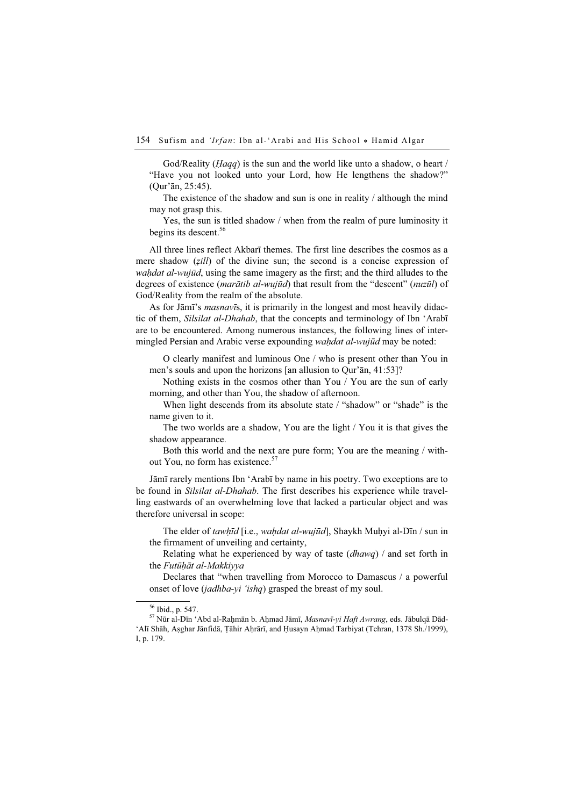God/Reality (*Haqq*) is the sun and the world like unto a shadow, o heart / "Have you not looked unto your Lord, how He lengthens the shadow?" (Qur'ān, 25:45).

The existence of the shadow and sun is one in reality / although the mind may not grasp this.

Yes, the sun is titled shadow / when from the realm of pure luminosity it begins its descent.<sup>56</sup>

All three lines reflect Akbarī themes. The first line describes the cosmos as a mere shadow (*zill*) of the divine sun; the second is a concise expression of wahdat al-wujūd, using the same imagery as the first; and the third alludes to the degrees of existence (*marātib al-wujūd*) that result from the "descent" ( $nu\bar{z}$ *ūl*) of God/Reality from the realm of the absolute.

As for Jāmī's masnavīs, it is primarily in the longest and most heavily didactic of them, *Silsilat al-Dhahab*, that the concepts and terminology of Ibn 'Arabī are to be encountered. Among numerous instances, the following lines of intermingled Persian and Arabic verse expounding wahdat al-wujūd may be noted:

O clearly manifest and luminous One / who is present other than You in men's souls and upon the horizons [an allusion to Qur'ān, 41:53]?

Nothing exists in the cosmos other than You / You are the sun of early morning, and other than You, the shadow of afternoon.

When light descends from its absolute state / "shadow" or "shade" is the name given to it.

The two worlds are a shadow, You are the light / You it is that gives the shadow appearance.

Both this world and the next are pure form; You are the meaning / without You, no form has existence.<sup>57</sup>

Jāmī rarely mentions Ibn 'Arabī by name in his poetry. Two exceptions are to be found in *Silsilat al-Dhahab*. The first describes his experience while travelling eastwards of an overwhelming love that lacked a particular object and was therefore universal in scope:

The elder of tawhīd [i.e., wahdat al-wujūd], Shaykh Muḥyi al-Dīn / sun in the firmament of unveiling and certainty,

Relating what he experienced by way of taste  $(dhawq)$  / and set forth in the Futūḥāt al-Makkiyya

Declares that "when travelling from Morocco to Damascus / a powerful onset of love *(jadhba-yi 'ishq)* grasped the breast of my soul.

<sup>56</sup> Ibid., p. 547.

<sup>57</sup> Nūr al-Dīn 'Abd al-Raḥmān b. Aḥmad Jāmī, Masnavī-yi Haft Awrang, eds. Jābulqā Dād- 'Alī Shāh, Aṣghar Jānfidā, Ṭāhir Aḥrārī, and Ḥusayn Aḥmad Tarbiyat (Tehran, 1378 Sh./1999), I, p. 179.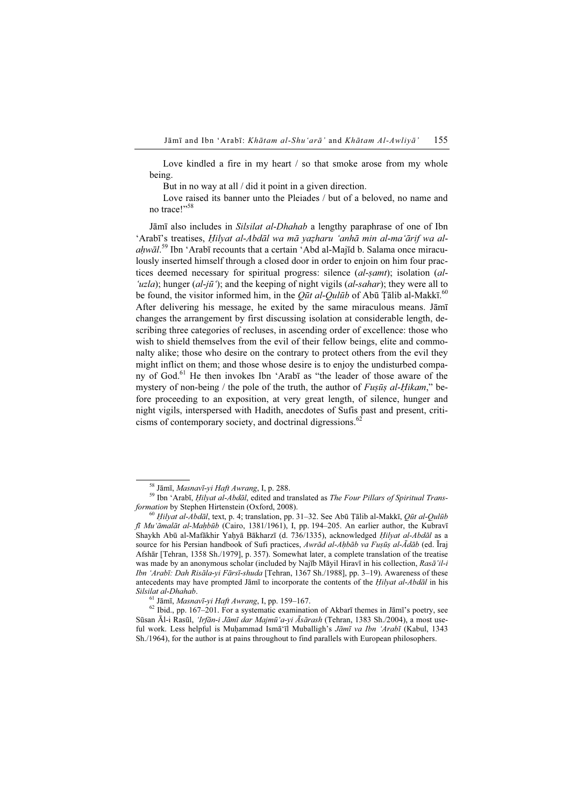Love kindled a fire in my heart / so that smoke arose from my whole being.

But in no way at all / did it point in a given direction.

Love raised its banner unto the Pleiades / but of a beloved, no name and no trace!"<sup>58</sup>

Jāmī also includes in Silsilat al-Dhahab a lengthy paraphrase of one of Ibn 'Arabī's treatises, Ḥilyat al-Abdāl wa mā yaẓharu 'anhā min al-ma'ārif wa alahwāl.<sup>59</sup> Ibn 'Arabī recounts that a certain 'Abd al-Majīd b. Salama once miraculously inserted himself through a closed door in order to enjoin on him four practices deemed necessary for spiritual progress: silence (al-samt); isolation (al-'uzla); hunger  $(al-i\bar{u}$ '); and the keeping of night vigils  $(al-sahar$ ); they were all to be found, the visitor informed him, in the *Qūt al-Qulūb* of Abū Țālib al-Makkī.<sup>60</sup> After delivering his message, he exited by the same miraculous means. Jāmī changes the arrangement by first discussing isolation at considerable length, describing three categories of recluses, in ascending order of excellence: those who wish to shield themselves from the evil of their fellow beings, elite and commonalty alike; those who desire on the contrary to protect others from the evil they might inflict on them; and those whose desire is to enjoy the undisturbed company of God.<sup>61</sup> He then invokes Ibn 'Arabī as "the leader of those aware of the mystery of non-being / the pole of the truth, the author of *Fusūs al-Hikam*," before proceeding to an exposition, at very great length, of silence, hunger and night vigils, interspersed with Hadith, anecdotes of Sufis past and present, criticisms of contemporary society, and doctrinal digressions. $62$ 

<sup>&</sup>lt;sup>58</sup> Jāmī, *Masnavī-yi Haft Awrang*, I, p. 288.<br><sup>59</sup> Ibn 'Arabī, *Ḥilyat al-Abdāl*, edited and translated as *The Four Pillars of Spiritual Trans-formation* by Stephen Hirtenstein (Oxford, 2008).

<sup>&</sup>lt;sup>60</sup> Ḥilyat al-Abdāl, text, p. 4; translation, pp. 31–32. See Abū Ṭālib al-Makkī, Qūt al-Qulūb fī Mu'āmalāt al-Maḥbūb (Cairo, 1381/1961), I, pp. 194–205. An earlier author, the Kubravī Shaykh Abū al-Mafākhir Yaḥyā Bākharzī (d. 736/1335), acknowledged Hilyat al-Abdāl as a source for his Persian handbook of Sufi practices, Awrād al-Aḥbāb va Fuṣūṣ al-Ādāb (ed. Īraj Afshār [Tehran, 1358 Sh./1979], p. 357). Somewhat later, a complete translation of the treatise was made by an anonymous scholar (included by Najīb Māyil Hiravī in his collection, Rasā'il-i Ibn 'Arabī: Dah Risāla-yi Fārsī-shuda [Tehran, 1367 Sh./1988], pp. 3–19). Awareness of these antecedents may have prompted Jāmī to incorporate the contents of the *Hilyat al-Abdāl* in his Silsilat al-Dhahab.<br><sup>61</sup> Jāmī, *Masnavī-yi Haft Awrang*, I, pp. 159–167.<br><sup>62</sup> Ibid., pp. 167–201. For a systematic examination of Akbarī themes in Jāmī's poetry, see

Sūsan Āl-i Rasūl, 'Irfān-i Jāmī dar Majmū'a-yi Āsārash (Tehran, 1383 Sh./2004), a most useful work. Less helpful is Muḥammad Ismā'īl Muballigh's Jāmī va Ibn 'Arabī (Kabul, 1343 Sh./1964), for the author is at pains throughout to find parallels with European philosophers.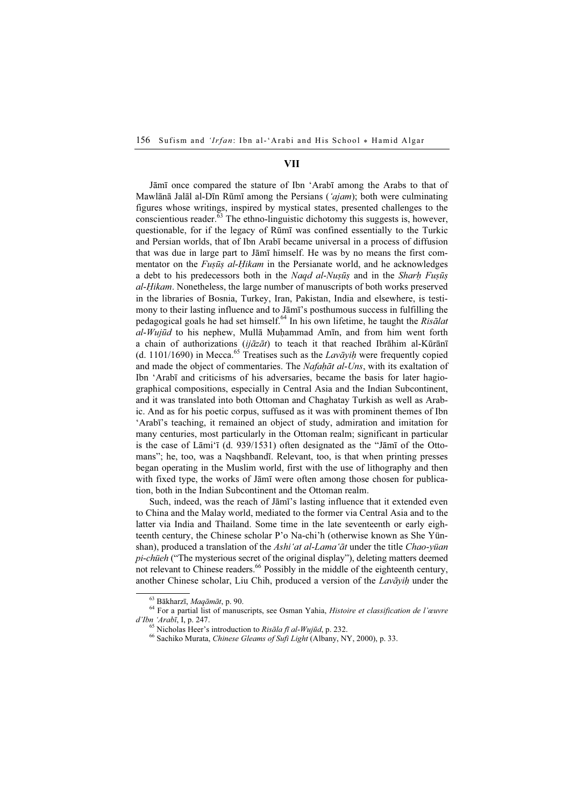#### VII

Jāmī once compared the stature of Ibn 'Arabī among the Arabs to that of Mawlānā Jalāl al-Dīn Rūmī among the Persians ('*ajam*); both were culminating figures whose writings, inspired by mystical states, presented challenges to the conscientious reader. $63$  The ethno-linguistic dichotomy this suggests is, however, questionable, for if the legacy of Rūmī was confined essentially to the Turkic and Persian worlds, that of Ibn Arabī became universal in a process of diffusion that was due in large part to Jāmī himself. He was by no means the first commentator on the *Fuṣūṣ al-Hikam* in the Persianate world, and he acknowledges a debt to his predecessors both in the Naqd al-Nuṣūṣ and in the Sharh Fuṣūṣ al-Ḥikam. Nonetheless, the large number of manuscripts of both works preserved in the libraries of Bosnia, Turkey, Iran, Pakistan, India and elsewhere, is testimony to their lasting influence and to Jāmī's posthumous success in fulfilling the pedagogical goals he had set himself.<sup>64</sup> In his own lifetime, he taught the Risālat  $al-Wujiid$  to his nephew, Mullā Muhammad Amīn, and from him went forth a chain of authorizations ( $ij\bar{a}z\bar{a}t$ ) to teach it that reached Ibrāhim al-Kūrānī (d. 1101/1690) in Mecca.<sup>65</sup> Treatises such as the *Lavāyih* were frequently copied and made the object of commentaries. The Nafaḥāt al-Uns, with its exaltation of Ibn 'Arabī and criticisms of his adversaries, became the basis for later hagiographical compositions, especially in Central Asia and the Indian Subcontinent, and it was translated into both Ottoman and Chaghatay Turkish as well as Arabic. And as for his poetic corpus, suffused as it was with prominent themes of Ibn 'Arabī's teaching, it remained an object of study, admiration and imitation for many centuries, most particularly in the Ottoman realm; significant in particular is the case of Lāmi'ī (d. 939/1531) often designated as the "Jāmī of the Ottomans"; he, too, was a Naqshbandī. Relevant, too, is that when printing presses began operating in the Muslim world, first with the use of lithography and then with fixed type, the works of Jāmī were often among those chosen for publication, both in the Indian Subcontinent and the Ottoman realm.

Such, indeed, was the reach of Jāmī's lasting influence that it extended even to China and the Malay world, mediated to the former via Central Asia and to the latter via India and Thailand. Some time in the late seventeenth or early eighteenth century, the Chinese scholar P'o Na-chi'h (otherwise known as She Yünshan), produced a translation of the Ashi'at al-Lama'āt under the title Chao-yüan pi-chüeh ("The mysterious secret of the original display"), deleting matters deemed not relevant to Chinese readers.<sup>66</sup> Possibly in the middle of the eighteenth century, another Chinese scholar, Liu Chih, produced a version of the  $Law\bar{a}vih$  under the

<sup>&</sup>lt;sup>63</sup> Bākharzī, *Maqāmāt*, p. 90.<br><sup>64</sup> For a partial list of manuscripts, see Osman Yahia, *Histoire et classification de l'œuvre d'Ibn 'Arabī*. I. p. 247.

<sup>&</sup>lt;sup>65</sup> Nicholas Heer's introduction to *Risāla fī al-Wujūd*, p. 232.<br><sup>66</sup> Sachiko Murata, *Chinese Gleams of Sufi Light* (Albany, NY, 2000), p. 33.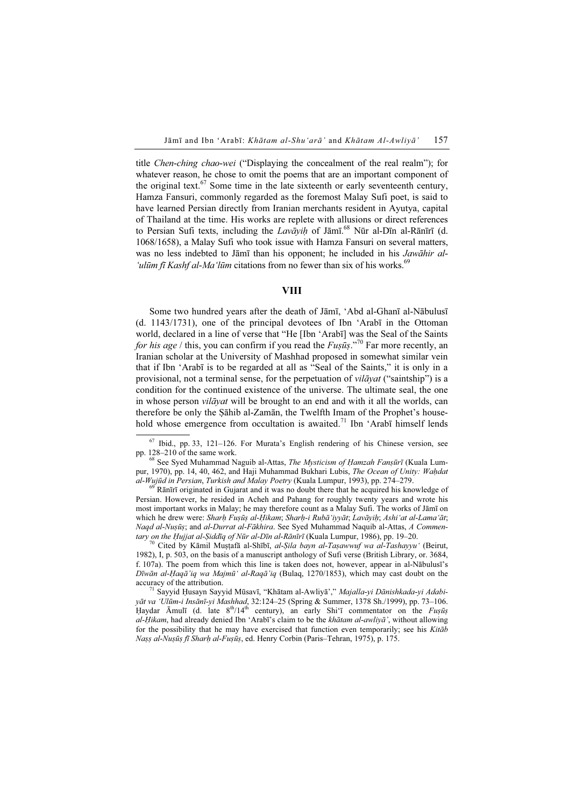title Chen-ching chao-wei ("Displaying the concealment of the real realm"); for whatever reason, he chose to omit the poems that are an important component of the original text.<sup>67</sup> Some time in the late sixteenth or early seventeenth century, Hamza Fansuri, commonly regarded as the foremost Malay Sufi poet, is said to have learned Persian directly from Iranian merchants resident in Ayutya, capital of Thailand at the time. His works are replete with allusions or direct references to Persian Sufi texts, including the  $Lav\bar{a}v\bar{i}h$  of Jāmī.<sup>68</sup> Nūr al-Dīn al-Rānīrī (d. 1068/1658), a Malay Sufi who took issue with Hamza Fansuri on several matters, was no less indebted to Jāmī than his opponent; he included in his Jawāhir al- 'ulūm fī Kashf al-Ma'lūm citations from no fewer than six of his works.<sup>69</sup>

## VIII

Some two hundred years after the death of Jāmī, 'Abd al-Ghanī al-Nābulusī (d. 1143/1731), one of the principal devotees of Ibn 'Arabī in the Ottoman world, declared in a line of verse that "He [Ibn 'Arabī] was the Seal of the Saints for his age / this, you can confirm if you read the  $Fus\bar{u}s$ .<sup>"70</sup> Far more recently, an Iranian scholar at the University of Mashhad proposed in somewhat similar vein that if Ibn 'Arabī is to be regarded at all as "Seal of the Saints," it is only in a provisional, not a terminal sense, for the perpetuation of *vilāyat* ("saintship") is a condition for the continued existence of the universe. The ultimate seal, the one in whose person *vilāyat* will be brought to an end and with it all the worlds, can therefore be only the Ṣāhib al-Zamān, the Twelfth Imam of the Prophet's household whose emergence from occultation is awaited.<sup>71</sup> Ibn 'Arabī himself lends

 $\frac{69}{9}$  Rānīrī originated in Gujarat and it was no doubt there that he acquired his knowledge of Persian. However, he resided in Acheh and Pahang for roughly twenty years and wrote his most important works in Malay; he may therefore count as a Malay Sufi. The works of Jāmī on which he drew were: Sharh Fuṣūṣ al-Ḥikam; Sharh-i Rubā 'iyyāt; Lavāyiḥ; Ashi 'at al-Lama 'āt; Naqd al-Nuṣūṣ; and al-Durrat al-Fākhira. See Syed Muhammad Naquib al-Attas, A Commentary on the Ḥujjat al-Ṣiddīq of Nūr al-Dīn al-Rānīrī (Kuala Lumpur, 1986), pp. 19–20.<br><sup>70</sup> Cited by Kāmil Muṣṭafā al-Shībī, *al-Ṣila bayn al-Taṣawwuf wa al-Tashayyu'* (Beirut,

1982), I, p. 503, on the basis of a manuscript anthology of Sufi verse (British Library, or. 3684, f. 107a). The poem from which this line is taken does not, however, appear in al-Nābulusī's Dīwān al-Haqā'iq wa Majmū' al-Raqā'iq (Bulaq, 1270/1853), which may cast doubt on the accuracy of the attribution.<br><sup>71</sup> Sayyid Ḥusayn Sayyid Mūsavī, "Khātam al-Awliyā'," *Majalla-yi Dānishkada-yi Adabi-*

yāt va 'Ulūm-i Insānī-yi Mashhad, 32:124–25 (Spring & Summer, 1378 Sh./1999), pp. 73–106. Haydar Āmulī (d. late  $8<sup>th</sup>/14<sup>th</sup>$  century), an early Shi'ī commentator on the *Fuṣūṣ*  $al-Hikam$ , had already denied Ibn 'Arabī's claim to be the khātam al-awlivā', without allowing for the possibility that he may have exercised that function even temporarily; see his Kitāb Nass al-Nusūs fī Sharh al-Fusūs, ed. Henry Corbin (Paris–Tehran, 1975), p. 175.

 $67$  Ibid., pp. 33, 121–126. For Murata's English rendering of his Chinese version, see pp. 128–210 of the same work.

 $68$  See Syed Muhammad Naguib al-Attas, The Mysticism of Ḥamzah Fanṣūrī (Kuala Lumpur, 1970), pp. 14, 40, 462, and Haji Muhammad Bukhari Lubis, *The Ocean of Unity: Waḥdat al-Wujūd in Persian, Turkish and Malay Poetry* (Kuala Lumpur, 1993), pp. 274–279.